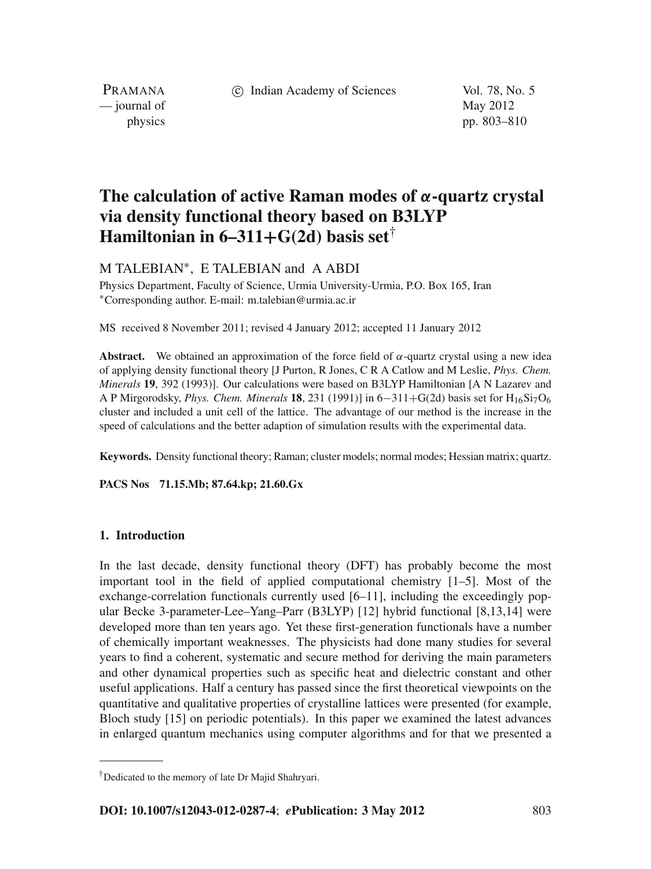c Indian Academy of Sciences Vol. 78, No. 5

PRAMANA  $\frac{1}{2}$  journal of May 2012

physics pp. 803–810

# **The calculation of active Raman modes of** *α***-quartz crystal via density functional theory based on B3LYP Hamiltonian in 6–311+** $G(2d)$  **basis set**<sup>†</sup>

M TALEBIAN∗, E TALEBIAN and A ABDI

Physics Department, Faculty of Science, Urmia University-Urmia, P.O. Box 165, Iran <sup>∗</sup>Corresponding author. E-mail: m.talebian@urmia.ac.ir

MS received 8 November 2011; revised 4 January 2012; accepted 11 January 2012

**Abstract.** We obtained an approximation of the force field of  $\alpha$ -quartz crystal using a new idea of applying density functional theory [J Purton, R Jones, C R A Catlow and M Leslie, *Phys. Chem. Minerals* **19**, 392 (1993)]. Our calculations were based on B3LYP Hamiltonian [A N Lazarev and A P Mirgorodsky, *Phys. Chem. Minerals* **18**, 231 (1991)] in 6−311+G(2d) basis set for H16Si7O6 cluster and included a unit cell of the lattice. The advantage of our method is the increase in the speed of calculations and the better adaption of simulation results with the experimental data.

**Keywords.** Density functional theory; Raman; cluster models; normal modes; Hessian matrix; quartz.

**PACS Nos 71.15.Mb; 87.64.kp; 21.60.Gx**

# **1. Introduction**

In the last decade, density functional theory (DFT) has probably become the most important tool in the field of applied computational chemistry [1–5]. Most of the exchange-correlation functionals currently used [6–11], including the exceedingly popular Becke 3-parameter-Lee–Yang–Parr (B3LYP) [12] hybrid functional [8,13,14] were developed more than ten years ago. Yet these first-generation functionals have a number of chemically important weaknesses. The physicists had done many studies for several years to find a coherent, systematic and secure method for deriving the main parameters and other dynamical properties such as specific heat and dielectric constant and other useful applications. Half a century has passed since the first theoretical viewpoints on the quantitative and qualitative properties of crystalline lattices were presented (for example, Bloch study [15] on periodic potentials). In this paper we examined the latest advances in enlarged quantum mechanics using computer algorithms and for that we presented a

<sup>†</sup>Dedicated to the memory of late Dr Majid Shahryari.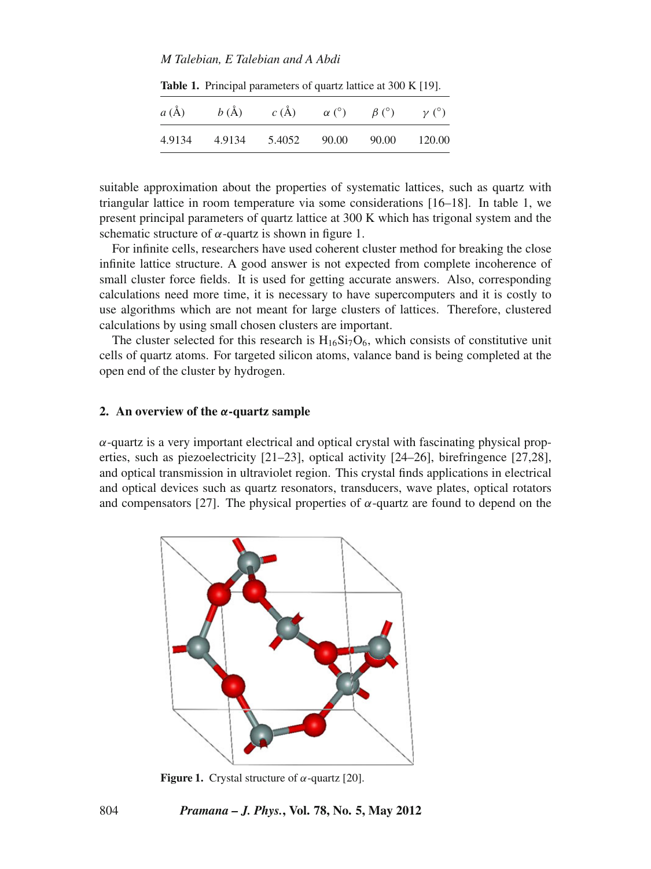## *M Talebian, E Talebian and A Abdi*

**Table 1.** Principal parameters of quartz lattice at 300 K [19].

| a(A)   | b(A)   | $c(\AA)$ | $\alpha$ (°) | $\beta$ (°) | $\nu$ (°) |
|--------|--------|----------|--------------|-------------|-----------|
| 4.9134 | 4.9134 | 5.4052   | 90.00        | 90.00       | 120.00    |

suitable approximation about the properties of systematic lattices, such as quartz with triangular lattice in room temperature via some considerations [16–18]. In table 1, we present principal parameters of quartz lattice at 300 K which has trigonal system and the schematic structure of  $\alpha$ -quartz is shown in figure 1.

For infinite cells, researchers have used coherent cluster method for breaking the close infinite lattice structure. A good answer is not expected from complete incoherence of small cluster force fields. It is used for getting accurate answers. Also, corresponding calculations need more time, it is necessary to have supercomputers and it is costly to use algorithms which are not meant for large clusters of lattices. Therefore, clustered calculations by using small chosen clusters are important.

The cluster selected for this research is  $H_{16}Si<sub>7</sub>O<sub>6</sub>$ , which consists of constitutive unit cells of quartz atoms. For targeted silicon atoms, valance band is being completed at the open end of the cluster by hydrogen.

## **2. An overview of the** *α***-quartz sample**

 $\alpha$ -quartz is a very important electrical and optical crystal with fascinating physical properties, such as piezoelectricity [21–23], optical activity [24–26], birefringence [27,28], and optical transmission in ultraviolet region. This crystal finds applications in electrical and optical devices such as quartz resonators, transducers, wave plates, optical rotators and compensators [27]. The physical properties of  $\alpha$ -quartz are found to depend on the



**Figure 1.** Crystal structure of  $\alpha$ -quartz [20].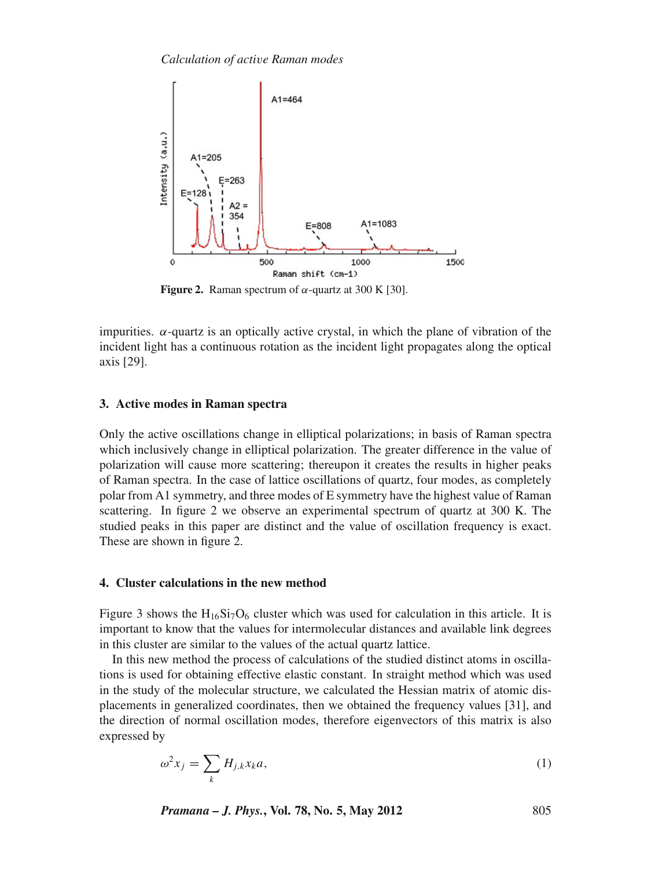

**Figure 2.** Raman spectrum of  $\alpha$ -quartz at 300 K [30].

impurities.  $\alpha$ -quartz is an optically active crystal, in which the plane of vibration of the incident light has a continuous rotation as the incident light propagates along the optical axis [29].

## **3. Active modes in Raman spectra**

Only the active oscillations change in elliptical polarizations; in basis of Raman spectra which inclusively change in elliptical polarization. The greater difference in the value of polarization will cause more scattering; thereupon it creates the results in higher peaks of Raman spectra. In the case of lattice oscillations of quartz, four modes, as completely polar from A1 symmetry, and three modes of E symmetry have the highest value of Raman scattering. In figure 2 we observe an experimental spectrum of quartz at 300 K. The studied peaks in this paper are distinct and the value of oscillation frequency is exact. These are shown in figure 2.

# **4. Cluster calculations in the new method**

Figure 3 shows the  $H_{16}Si<sub>7</sub>O<sub>6</sub>$  cluster which was used for calculation in this article. It is important to know that the values for intermolecular distances and available link degrees in this cluster are similar to the values of the actual quartz lattice.

In this new method the process of calculations of the studied distinct atoms in oscillations is used for obtaining effective elastic constant. In straight method which was used in the study of the molecular structure, we calculated the Hessian matrix of atomic displacements in generalized coordinates, then we obtained the frequency values [31], and the direction of normal oscillation modes, therefore eigenvectors of this matrix is also expressed by

$$
\omega^2 x_j = \sum_k H_{j,k} x_k a,\tag{1}
$$

*Pramana – J. Phys.***, Vol. 78, No. 5, May 2012** 805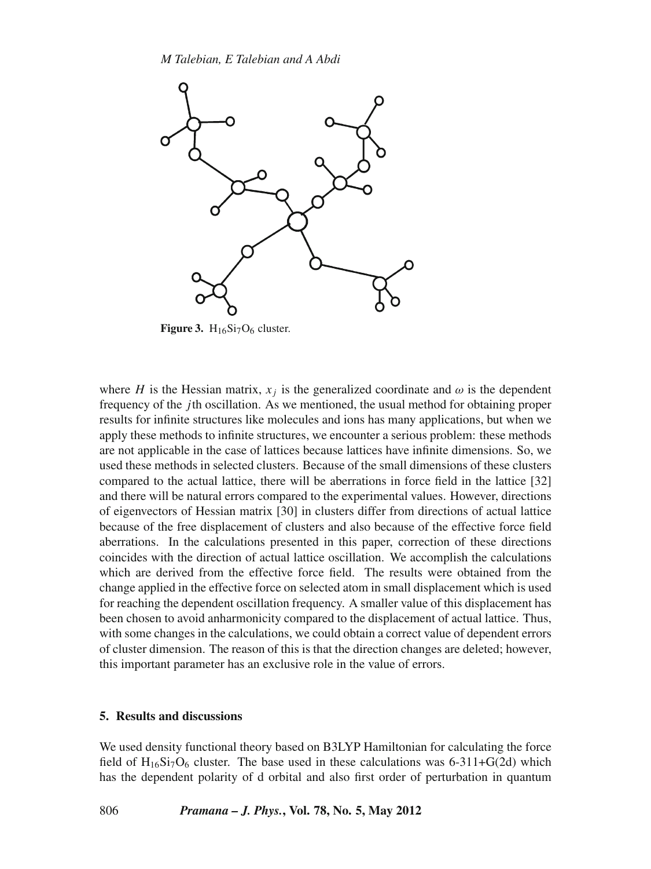

**Figure 3.**  $H_{16}Si<sub>7</sub>O<sub>6</sub> cluster.$ 

where *H* is the Hessian matrix,  $x_i$  is the generalized coordinate and  $\omega$  is the dependent frequency of the *j*th oscillation. As we mentioned, the usual method for obtaining proper results for infinite structures like molecules and ions has many applications, but when we apply these methods to infinite structures, we encounter a serious problem: these methods are not applicable in the case of lattices because lattices have infinite dimensions. So, we used these methods in selected clusters. Because of the small dimensions of these clusters compared to the actual lattice, there will be aberrations in force field in the lattice [32] and there will be natural errors compared to the experimental values. However, directions of eigenvectors of Hessian matrix [30] in clusters differ from directions of actual lattice because of the free displacement of clusters and also because of the effective force field aberrations. In the calculations presented in this paper, correction of these directions coincides with the direction of actual lattice oscillation. We accomplish the calculations which are derived from the effective force field. The results were obtained from the change applied in the effective force on selected atom in small displacement which is used for reaching the dependent oscillation frequency. A smaller value of this displacement has been chosen to avoid anharmonicity compared to the displacement of actual lattice. Thus, with some changes in the calculations, we could obtain a correct value of dependent errors of cluster dimension. The reason of this is that the direction changes are deleted; however, this important parameter has an exclusive role in the value of errors.

#### **5. Results and discussions**

We used density functional theory based on B3LYP Hamiltonian for calculating the force field of  $H_{16}Si<sub>7</sub>O<sub>6</sub>$  cluster. The base used in these calculations was 6-311+G(2d) which has the dependent polarity of d orbital and also first order of perturbation in quantum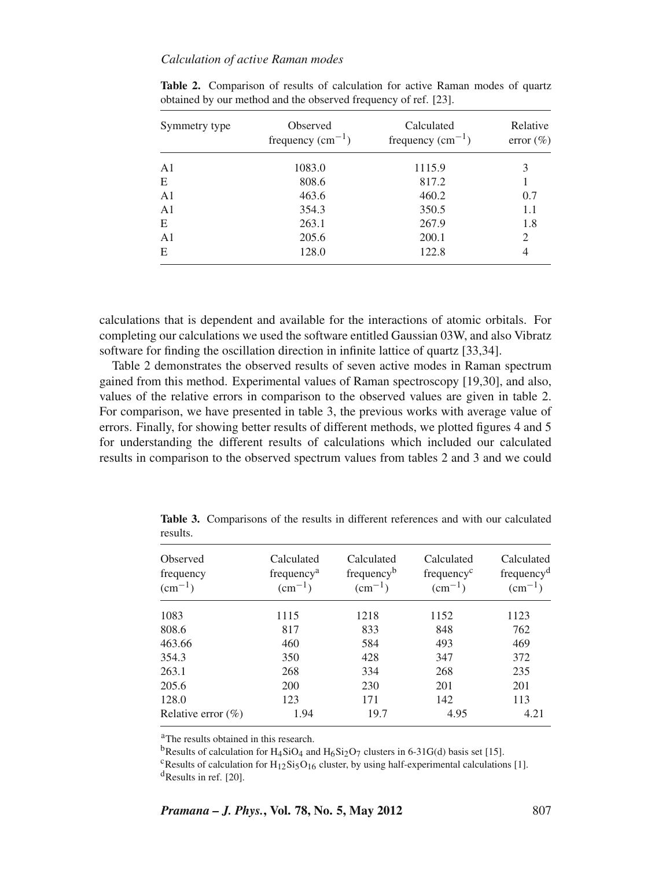## *Calculation of acti*v*e Raman modes*

| Symmetry type  | Observed<br>frequency $(cm-1)$ | Calculated<br>frequency $(cm-1)$ | Relative<br>error $(\% )$ |
|----------------|--------------------------------|----------------------------------|---------------------------|
| A <sub>1</sub> | 1083.0                         | 1115.9                           | 3                         |
| E              | 808.6                          | 817.2                            |                           |
| A <sub>1</sub> | 463.6                          | 460.2                            | 0.7                       |
| A <sub>1</sub> | 354.3                          | 350.5                            | 1.1                       |
| E              | 263.1                          | 267.9                            | 1.8                       |
| A <sub>1</sub> | 205.6                          | 200.1                            | $\overline{c}$            |
| E              | 128.0                          | 122.8                            | 4                         |

Table 2. Comparison of results of calculation for active Raman modes of quartz obtained by our method and the observed frequency of ref. [23].

calculations that is dependent and available for the interactions of atomic orbitals. For completing our calculations we used the software entitled Gaussian 03W, and also Vibratz software for finding the oscillation direction in infinite lattice of quartz [33,34].

Table 2 demonstrates the observed results of seven active modes in Raman spectrum gained from this method. Experimental values of Raman spectroscopy [19,30], and also, values of the relative errors in comparison to the observed values are given in table 2. For comparison, we have presented in table 3, the previous works with average value of errors. Finally, for showing better results of different methods, we plotted figures 4 and 5 for understanding the different results of calculations which included our calculated results in comparison to the observed spectrum values from tables 2 and 3 and we could

| Observed<br>frequency<br>$\rm (cm^{-1})$ | Calculated<br>frequency <sup>a</sup><br>$\rm (cm^{-1})$ | Calculated<br>frequency <sup>b</sup><br>$\rm (cm^{-1})$ | Calculated<br>frequency <sup>c</sup><br>$(cm^{-1})$ | Calculated<br>frequency <sup>d</sup><br>$(cm^{-1})$ |
|------------------------------------------|---------------------------------------------------------|---------------------------------------------------------|-----------------------------------------------------|-----------------------------------------------------|
| 1083                                     | 1115                                                    | 1218                                                    | 1152                                                | 1123                                                |
| 808.6                                    | 817                                                     | 833                                                     | 848                                                 | 762                                                 |
| 463.66                                   | 460                                                     | 584                                                     | 493                                                 | 469                                                 |
| 354.3                                    | 350                                                     | 428                                                     | 347                                                 | 372                                                 |
| 263.1                                    | 268                                                     | 334                                                     | 268                                                 | 235                                                 |
| 205.6                                    | 200                                                     | 230                                                     | 201                                                 | 201                                                 |
| 128.0                                    | 123                                                     | 171                                                     | 142                                                 | 113                                                 |
| Relative error $(\%)$                    | 1.94                                                    | 19.7                                                    | 4.95                                                | 4.21                                                |

**Table 3.** Comparisons of the results in different references and with our calculated results.

aThe results obtained in this research.

<sup>b</sup>Results of calculation for H<sub>4</sub>SiO<sub>4</sub> and H<sub>6</sub>Si<sub>2</sub>O<sub>7</sub> clusters in 6-31G(d) basis set [15].<br><sup>c</sup>Results of calculation for H<sub>12</sub>Si<sub>5</sub>O<sub>16</sub> cluster, by using half-experimental calculations [1].  $d$ Results in ref. [20].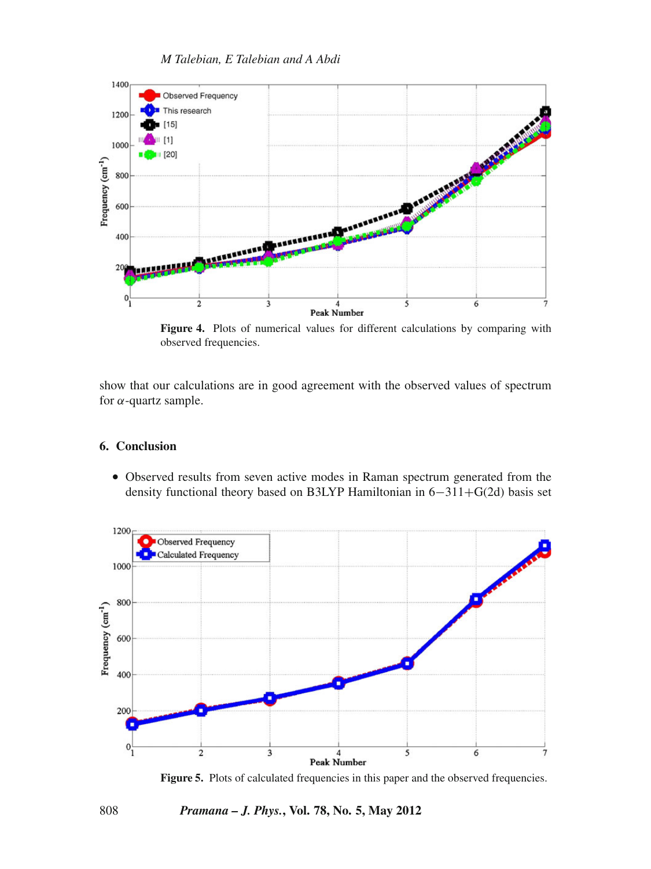

*M Talebian, E Talebian and A Abdi*

**Figure 4.** Plots of numerical values for different calculations by comparing with observed frequencies.

show that our calculations are in good agreement with the observed values of spectrum for  $\alpha$ -quartz sample.

# **6. Conclusion**

• Observed results from seven active modes in Raman spectrum generated from the density functional theory based on B3LYP Hamiltonian in 6−311+G(2d) basis set



Figure 5. Plots of calculated frequencies in this paper and the observed frequencies.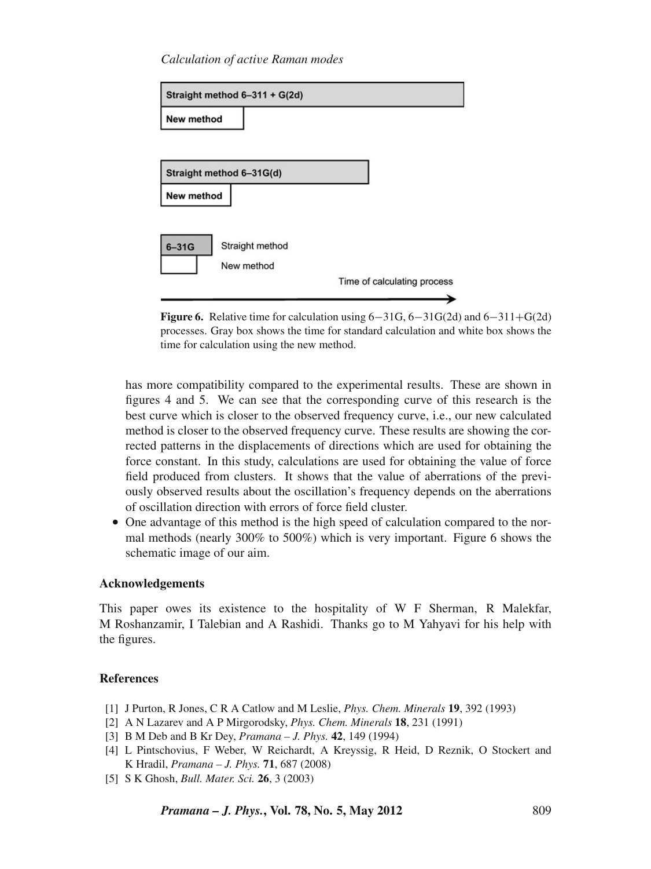*Calculation of acti*v*e Raman modes*

| Straight method 6-311 + G(2d) |                             |
|-------------------------------|-----------------------------|
| New method                    |                             |
|                               |                             |
| Straight method 6-31G(d)      |                             |
| New method                    |                             |
|                               |                             |
| $6 - 31G$<br>Straight method  |                             |
| New method                    |                             |
|                               | Time of calculating process |
|                               |                             |



has more compatibility compared to the experimental results. These are shown in figures 4 and 5. We can see that the corresponding curve of this research is the best curve which is closer to the observed frequency curve, i.e., our new calculated method is closer to the observed frequency curve. These results are showing the corrected patterns in the displacements of directions which are used for obtaining the force constant. In this study, calculations are used for obtaining the value of force field produced from clusters. It shows that the value of aberrations of the previously observed results about the oscillation's frequency depends on the aberrations of oscillation direction with errors of force field cluster.

• One advantage of this method is the high speed of calculation compared to the normal methods (nearly 300% to 500%) which is very important. Figure 6 shows the schematic image of our aim.

# **Acknowledgements**

This paper owes its existence to the hospitality of W F Sherman, R Malekfar, M Roshanzamir, I Talebian and A Rashidi. Thanks go to M Yahyavi for his help with the figures.

# **References**

- [1] J Purton, R Jones, C R A Catlow and M Leslie, *Phys. Chem. Minerals* **19**, 392 (1993)
- [2] A N Lazarev and A P Mirgorodsky, *Phys. Chem. Minerals* **18**, 231 (1991)
- [3] B M Deb and B Kr Dey, *Pramana J. Phys.* **42**, 149 (1994)
- [4] L Pintschovius, F Weber, W Reichardt, A Kreyssig, R Heid, D Reznik, O Stockert and K Hradil, *Pramana – J. Phys.* **71**, 687 (2008)
- [5] S K Ghosh, *Bull. Mater. Sci.* **26**, 3 (2003)